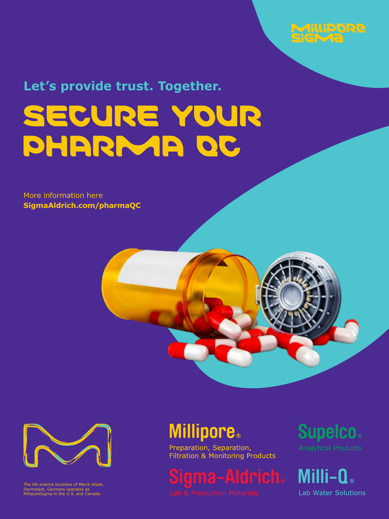

**Let's provide trust. Together.**

# [SECURE YOUR](https://www.sigmaaldrich.com/industries/pharma.html) PHARMA OC

More information here **SigmaAldrich.com/pharmaQC**





The life science business of Merck KGaA, Darmstadt, Germany operates as MilliporeSigma in the U.S. and Canada.

# **Millipore.**

Preparation, Separation,<br>Filtration & Monitoring Products

Sigma-Aldrich.

**Supelco.** 

Milli-Q® **Lab Water Solutions**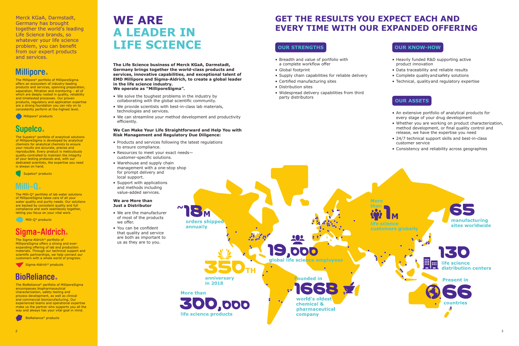

# **WE ARE A LEADER IN LIFE SCIENCE**

**GET THE RESULTS YOU EXPECT EACH AND EVERY TIME WITH OUR EXPANDED OFFERING**

### **OUR STRENGTHS**

- Breadth and value of portfolio with a complete workflow offer
- Global footprint
- Supply chain capabilities for reliable delivery
- Certified manufacturing sites
- Distribution sites
- Widespread delivery capabilities from third party distributors

#### **OUR KNOW-HOW**

- Heavily funded R&D supporting active product innovation
- Data traceability and reliable results
- Complete qualityandsafety solutions
- Technical, qualityand regulatory expertise

#### **OUR ASSETS**

- An extensive portfolio of analytical products for every stage of your drug development
- Whether you are working on product characterization, method development, or final quality control and release, we have the expertise you need
- 24/7 technical support skills and best-in-class customer service
- Consistency and reliability across geographies



Merck KGaA, Darmstadt, Germany has brought together the world's leading Life Science brands, so whatever your life science problem, you can benefit from our expert products and services.

# **Millipore**

The Millipore® portfolio of MilliporeSigma offers an ecosystem of industry-leading products and services, spanning preparation, separation, filtration and monitoring – all of which are deeply rooted in quality, reliability and timetested processes. Our proven products, regulatory and application expertise are a strong foundation you can rely on to consistently perform at the highest level.

Millipore® products

# **Supelco**

The Supelco® portfolio of analytical solutions of MilliporeSigma is developed by analytical chemists for analytical chemists to ensure your results are accurate, precise and reproducible. Every product is meticulously quality-controlled to maintain the integrity of your testing protocols and, with our dedicated scientists, the expertise you need is always on hand.

Supelco® products



The Milli-Q® portfolio of lab water solutions of MilliporeSigma takes care of all your water quality and purity needs. Our solutions are backed by consistent quality and full compliance and work seamlessly together, letting you focus on your vital work.

Milli-Q® products

# Sigma-Aldrich

The Sigma-Aldrich® portfolio of MilliporeSigma offers a strong and everexpanding offering of lab and production materials. Through our technical support and scientific partnerships, we help connect our customers with a whole world of progress.

Sigma-Aldrich<sup>®</sup> products

# **BioReliance**

The BioReliance® portfolio of MilliporeSigma encompasses biopharmaceutical characterization, safety testing and process development, as well as clinical and commercial biomanufacturing. Our experienced teams and operational expertise make us the partner who supports you all the way and always has your vital goal in mind.

BioReliance® products

**The Life Science business of Merck KGaA, Darmstadt, Germany brings together the world-class products and services, innovative capabilities, and exceptional talent of EMD Millipore and Sigma-Aldrich, to create a global leader in the life science industry.** 

**We operate as "MilliporeSigma".**

- We solve the toughest problems in the industry by collaborating with the global scientific community.
- We provide scientists with best-in-class lab materials, technologies and services.
- We can streamline your method development and productivity efficiently.

#### **We Can Make Your Life Straightforward and Help You with Risk Management and Regulatory Due Diligence:**

- Products and services following the latest regulations to ensure compliance.
- Resources to meet your exact needs customer-specific solutions.
- Warehouse and supply chain management with a one-stop shop for prompt delivery and local support.
- Support with applications and methods including value-added services.

#### **We are More than Just a Distributor**

- We are the manufacturer of most of the products we offer.
- You can be confident that quality and service are both as important to us as they are to you.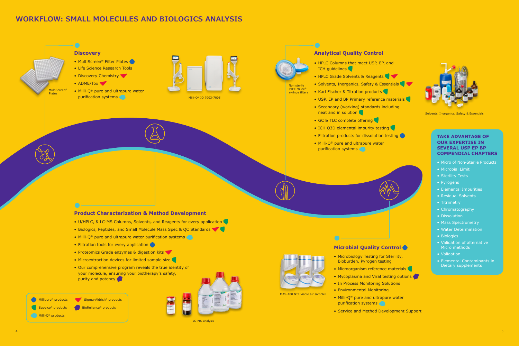- [HPLC Columns that meet USP, EP, and](https://www.sigmaaldrich.com/analytical-chromatography/hplc.html)  ICH quidelines
- [HPLC Grade Solvents & Reagents](https://www.sigmaaldrich.com/chemistry/solvents.html)
- [Solvents, Inorganics, Safety & Essentials](https://www.sigmaaldrich.com/analytical-chromatography/analytical-reagents/smart-up-your-lab.html)
- [Karl Fischer & Titration products](https://www.sigmaaldrich.com/analytical-chromatography/titration.html)
- [USP, EP and BP Primary reference materials](https://www.sigmaaldrich.com/analytical-chromatography/analytical-standards/pharma-reference-materials.html)
- [Secondary \(working\) standards including](https://www.sigmaaldrich.com/secondarystandards) neat and in solution
- [GC &](https://www.sigmaaldrich.com/analytical-chromatography/gas-chromatography.html) [TLC](https://www.sigmaaldrich.com/analytical-chromatography/thin-layer-chromatography.html) complete offering
- ICH Q3D elemental impurity testing
- Filtration products for dissolution testing
- Milli-Q® pure and ultrapure water purification systems

#### **[Analytical Quality Control](https://www.sigmaaldrich.com/analytical-chromatography.html)**

Non sterile PTFE Millex® syringe filters



[Solvents, Inorganics, Safety & Essentials](https://www.sigmaaldrich.com/analytical-chromatography/analytical-reagents/smart-up-your-lab.html)

- MultiScreen<sup>®</sup> Filter Plates
- [Life Science Research Tools](https://www.sigmaaldrich.com/life-science.html)
- [Discovery Chemistry](https://www.sigmaaldrich.com/chemistry/chemistry-services.html)
- [ADME/Tox](https://www.sigmaaldrich.com/life-science/adme-tox-assays.html)
- [Milli-Q® pure and ultrapure water](https://www.sigmaaldrich.com/technical-documents/articles/biology/water-purification-systems.html)  purification systems

#### **Product Characterization & Method Development**

- [U/HPLC, & LC-MS Columns, Solvents, and Reagents for every application](https://www.sigmaaldrich.com/analytical-chromatography/lc-ms.html)
- [Biologics, Peptides, and Small Molecule Mass Spec & QC Standards](https://www.sigmaaldrich.com/analytical-chromatography/analytical-standards/pharma-reference-materials.html)
- [Milli-Q® pure and ultrapure water purification systems](https://www.sigmaaldrich.com/technical-documents/articles/biology/water-purification-systems.html)
- [Filtration tools for every application](https://www.sigmaaldrich.com/life-science/millipore-filtration.html?utm_source=redirect&utm_medium=promotional&utm_campaign=milliporefiltration)
- [Proteomics Grade enzymes & digestion kits](https://www.sigmaaldrich.com/life-science/proteomics/mass-spectrometry.html)
- [Microextraction devices for limited sample size](https://www.sigmaaldrich.com/analytical-chromatography/sample-preparation/spme.html)
- [Our comprehensive program reveals the true identity of](https://www.sigmaaldrich.com/safc/bioprocess.html) your molecule, ensuring your biotherapy's safety, purity and potency

Millipore® products **Sigma-Aldrich®** products ● BioReliance<sup>®</sup> products Milli-Q<sup>®</sup> products Supelco<sup>®</sup> products



#### **Discovery**

#### **TAKE ADVANTAGE OF OUR EXPERTISE IN SEVERAL USP EP BP [COMPENDIAL CHAPTERS](https://www.sigmaaldrich.com/industries/pharma/technical-compendium.html)**

- Micro of Non-Sterile Products
- Microbial Limit
- Sterility Tests
- Pyrogens
- Elemental Impurities
- Residual Solvents
- Titrimetry
- Chromatography
- Dissolution
- Mass Spectrometry
- Water Determination
- Biologics
- Validation of alternative Micro methods
- Validation
- Elemental Contaminants in Dietary supplements

 $\frac{4}{5}$ 

### **[WORKFLOW: SMALL MOLECULES AND BIOLOGICS ANALYSIS](https://www.sigmaaldrich.com/industries/pharma.html)**

#### **[Microbial Quality Control](https://www.sigmaaldrich.com/industries/pharma/pharmaceutical-microbiological-control.html)**

- Microbiology Testing for [Sterility,](https://www.sigmaaldrich.com/analytical-chromatography/microbiology/sterility-testing.html) [Bioburden](https://www.sigmaaldrich.com/analytical-chromatography/microbiology/bioburden.html), [Pyrogen testing](https://www.sigmaaldrich.com/technical-documents/articles/microbiology/monocyte-activation-test-for-pyrogen-detection.html)
- [Microorganism reference materials](https://www.sigmaaldrich.com/analytical-chromatography/analytical-standards/microbiology-standards.html)
- [Mycoplasma and Viral testing options](https://www.bioreliance.com/ca/services/biopharmaceutical-services/bulk-lot-release-testing/mycoplasma-detection)
- In Process Monitoring Solutions
- [Environmental Monitorin](https://www.sigmaaldrich.com/analytical-chromatography/microbiology/environmental-monitoring.html)g
- [Milli-Q® pure and ultrapure water](https://www.sigmaaldrich.com/technical-documents/articles/biology/water-purification-systems.html) purification systems
- [Service and Method Development Suppor](https://www.sigmaaldrich.com/analytical-chromatography/microbiology/pharma-services.html)t









[MAS-100 NT® viable air sampler](https://www.sigmaaldrich.com/technical-documents/articles/microbiology/microbial-air-samplers-for-isolators.html)



[Milli-Q® IQ 7003-7005](https://www.sigmaaldrich.com/technical-documents/articles/biology/water-purification-systems.html)



[LC-MS analysis](https://www.sigmaaldrich.com/analytical-chromatography/lc-ms.html)



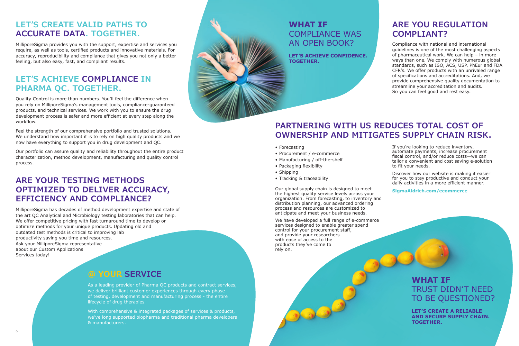# **PARTNERING WITH US REDUCES TOTAL COST OF OWNERSHIP AND MITIGATES SUPPLY CHAIN RISK.**

- Forecasting
- Procurement / e-commerce
- Manufacturing / off-the-shelf
- Packaging flexibility
- Shipping
- Tracking & traceability

Our global supply chain is designed to meet the highest quality service levels across your organization. From forecasting, to inventory and distribution planning, our advanced ordering process and resources are customized to anticipate and meet your business needs.

We have developed a full range of e-commerce services designed to enable greater spend control for your procurement staff, and provide your researchers with ease of access to the products they've come to rely on.

If you're looking to reduce inventory, automate payments, increase procurement fiscal control, and/or reduce costs—we can tailor a convenient and cost saving e-solution to fit your needs.

Discover how our website is making it easier for you to stay productive and conduct your daily activities in a more efficient manner.

**[SigmaAldrich.com/ecommerce](http://www.SigmaAldrich.com/ecommerce)**

# **WHAT IF** TRUST DIDN'T NEED TO BE QUESTIONED?

**LET'S CREATE A RELIABLE AND SECURE SUPPLY CHAIN. TOGETHER.**

# **WHAT IF** [COMPLIANCE WAS](https://www.sigmaaldrich.com/industries/pharma/technical-compendium.html)  AN OPEN BOOK?

**LET'S ACHIEVE CONFIDENCE. TOGETHER.**

# **[ARE YOU REGULATION](https://www.sigmaaldrich.com/industries/pharma/technical-compendium.html)  COMPLIANT?**

Compliance with national and international guidelines is one of the most challenging aspects of pharmaceutical work. We can help – in more ways than one. We comply with numerous global standards, such as ISO, ACS, USP, PhEur and FDA CFR's. We offer products with an unrivaled range of specifications and accreditations. And, we provide comprehensive quality documentation to streamline your accreditation and audits. So you can feel good and rest easy.

# **@ YOUR SERVICE**

As a leading provider of Pharma QC products and contract services, we deliver brilliant customer experiences through every phase of testing, development and manufacturing process - the entire lifecycle of drug therapies.

With comprehensive & integrated packages of services & products, we've long supported biopharma and traditional pharma developers & manufacturers.



# **LET'S CREATE VALID PATHS TO ACCURATE DATA. TOGETHER.**

MilliporeSigma provides you with the support, expertise and services you require, as well as tools, certified products and innovative materials. For accuracy, reproducibility and compliance that gives you not only a better feeling, but also easy, fast, and compliant results.

# **[LET'S ACHIEVE COMPLIANCE IN](https://www.sigmaaldrich.com/industries/pharma/technical-compendium.html)  PHARMA QC. TOGETHER.**

Quality Control is more than numbers. You'll feel the difference when you rely on MilliporeSigma's management tools, compliance-guaranteed products, and technical services. We work with you to ensure the drug development process is safer and more efficient at every step along the workflow.

Feel the strength of our comprehensive portfolio and trusted solutions. We understand how important it is to rely on high quality products and we now have everything to support you in drug development and QC.

Our portfolio can assure quality and reliability throughout the entire product characterization, method development, manufacturing and quality control process.

# **ARE YOUR TESTING METHODS OPTIMIZED TO DELIVER ACCURACY, EFFICIENCY AND COMPLIANCE?**

MilliporeSigma has decades of method development expertise and state of the art QC Analytical and Microbiology testing laboratories that can help. We offer competitive pricing with fast turnaround time to develop or optimize methods for your unique products. Updating old and outdated test methods is critical to improving lab productivity saving you time and resources. Ask your MilliporeSigma representative about our Custom Applications Services today!